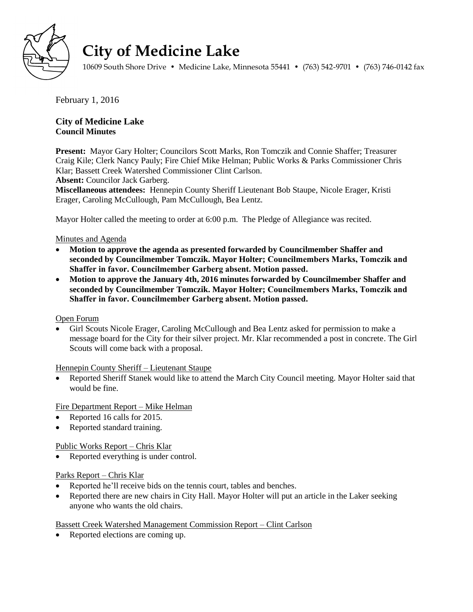

# **City of Medicine Lake**

10609 South Shore Drive • Medicine Lake, Minnesota 55441 • (763) 542-9701 • (763) 746-0142 fax

February 1, 2016

## **City of Medicine Lake Council Minutes**

**Present:** Mayor Gary Holter; Councilors Scott Marks, Ron Tomczik and Connie Shaffer; Treasurer Craig Kile; Clerk Nancy Pauly; Fire Chief Mike Helman; Public Works & Parks Commissioner Chris Klar; Bassett Creek Watershed Commissioner Clint Carlson.

**Absent:** Councilor Jack Garberg.

**Miscellaneous attendees:** Hennepin County Sheriff Lieutenant Bob Staupe, Nicole Erager, Kristi Erager, Caroling McCullough, Pam McCullough, Bea Lentz.

Mayor Holter called the meeting to order at 6:00 p.m. The Pledge of Allegiance was recited.

### Minutes and Agenda

- **Motion to approve the agenda as presented forwarded by Councilmember Shaffer and seconded by Councilmember Tomczik. Mayor Holter; Councilmembers Marks, Tomczik and Shaffer in favor. Councilmember Garberg absent. Motion passed.**
- **Motion to approve the January 4th, 2016 minutes forwarded by Councilmember Shaffer and seconded by Councilmember Tomczik. Mayor Holter; Councilmembers Marks, Tomczik and Shaffer in favor. Councilmember Garberg absent. Motion passed.**

## Open Forum

 Girl Scouts Nicole Erager, Caroling McCullough and Bea Lentz asked for permission to make a message board for the City for their silver project. Mr. Klar recommended a post in concrete. The Girl Scouts will come back with a proposal.

Hennepin County Sheriff – Lieutenant Staupe

 Reported Sheriff Stanek would like to attend the March City Council meeting. Mayor Holter said that would be fine.

Fire Department Report – Mike Helman

- Reported 16 calls for 2015.
- Reported standard training.

#### Public Works Report – Chris Klar

• Reported everything is under control.

#### Parks Report – Chris Klar

- Reported he'll receive bids on the tennis court, tables and benches.
- Reported there are new chairs in City Hall. Mayor Holter will put an article in the Laker seeking anyone who wants the old chairs.

## Bassett Creek Watershed Management Commission Report – Clint Carlson

Reported elections are coming up.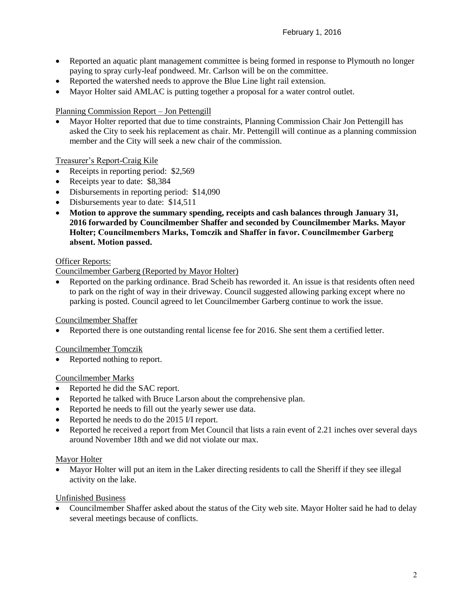- Reported an aquatic plant management committee is being formed in response to Plymouth no longer paying to spray curly-leaf pondweed. Mr. Carlson will be on the committee.
- Reported the watershed needs to approve the Blue Line light rail extension.
- Mayor Holter said AMLAC is putting together a proposal for a water control outlet.

## Planning Commission Report – Jon Pettengill

 Mayor Holter reported that due to time constraints, Planning Commission Chair Jon Pettengill has asked the City to seek his replacement as chair. Mr. Pettengill will continue as a planning commission member and the City will seek a new chair of the commission.

## Treasurer's Report-Craig Kile

- Receipts in reporting period: \$2,569
- Receipts year to date: \$8,384
- Disbursements in reporting period: \$14,090
- Disbursements year to date: \$14,511
- **Motion to approve the summary spending, receipts and cash balances through January 31, 2016 forwarded by Councilmember Shaffer and seconded by Councilmember Marks. Mayor Holter; Councilmembers Marks, Tomczik and Shaffer in favor. Councilmember Garberg absent. Motion passed.**

#### Officer Reports:

#### Councilmember Garberg (Reported by Mayor Holter)

• Reported on the parking ordinance. Brad Scheib has reworded it. An issue is that residents often need to park on the right of way in their driveway. Council suggested allowing parking except where no parking is posted. Council agreed to let Councilmember Garberg continue to work the issue.

#### Councilmember Shaffer

Reported there is one outstanding rental license fee for 2016. She sent them a certified letter.

#### Councilmember Tomczik

• Reported nothing to report.

#### Councilmember Marks

- Reported he did the SAC report.
- Reported he talked with Bruce Larson about the comprehensive plan.
- Reported he needs to fill out the yearly sewer use data.
- Reported he needs to do the 2015 I/I report.
- Reported he received a report from Met Council that lists a rain event of 2.21 inches over several days around November 18th and we did not violate our max.

#### Mayor Holter

 Mayor Holter will put an item in the Laker directing residents to call the Sheriff if they see illegal activity on the lake.

#### Unfinished Business

 Councilmember Shaffer asked about the status of the City web site. Mayor Holter said he had to delay several meetings because of conflicts.